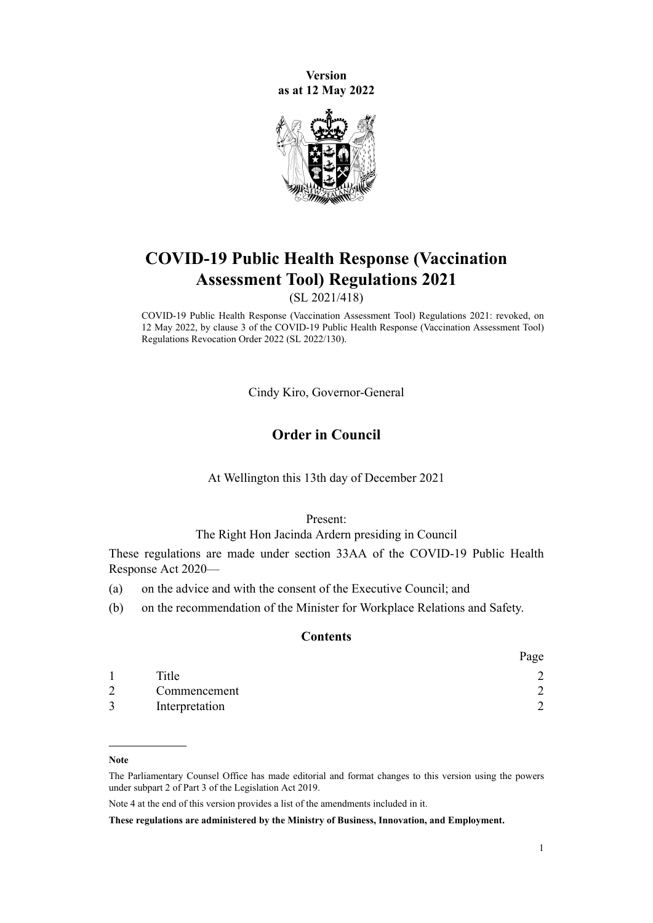**Version as at 12 May 2022**



# **COVID-19 Public Health Response (Vaccination Assessment Tool) Regulations 2021**

(SL 2021/418)

COVID-19 Public Health Response (Vaccination Assessment Tool) Regulations 2021: revoked, on 12 May 2022, by [clause 3](http://legislation.govt.nz/pdflink.aspx?id=LMS683353) of the COVID-19 Public Health Response (Vaccination Assessment Tool) Regulations Revocation Order 2022 (SL 2022/130).

Cindy Kiro, Governor-General

# **Order in Council**

At Wellington this 13th day of December 2021

#### Present:

## The Right Hon Jacinda Ardern presiding in Council

These regulations are made under [section 33AA](http://legislation.govt.nz/pdflink.aspx?id=LMS606310) of the [COVID-19 Public Health](http://legislation.govt.nz/pdflink.aspx?id=LMS344121) [Response Act 2020—](http://legislation.govt.nz/pdflink.aspx?id=LMS344121)

- (a) on the advice and with the consent of the Executive Council; and
- (b) on the recommendation of the Minister for Workplace Relations and Safety.

#### **Contents**

|               |                | Page   |
|---------------|----------------|--------|
|               | Title          |        |
| $\mathcal{D}$ | Commencement   |        |
| 3             | Interpretation | $\sim$ |

**Note**

The Parliamentary Counsel Office has made editorial and format changes to this version using the powers under [subpart 2](http://legislation.govt.nz/pdflink.aspx?id=DLM7298371) of Part 3 of the Legislation Act 2019.

Note 4 at the end of this version provides a list of the amendments included in it.

**These regulations are administered by the Ministry of Business, Innovation, and Employment.**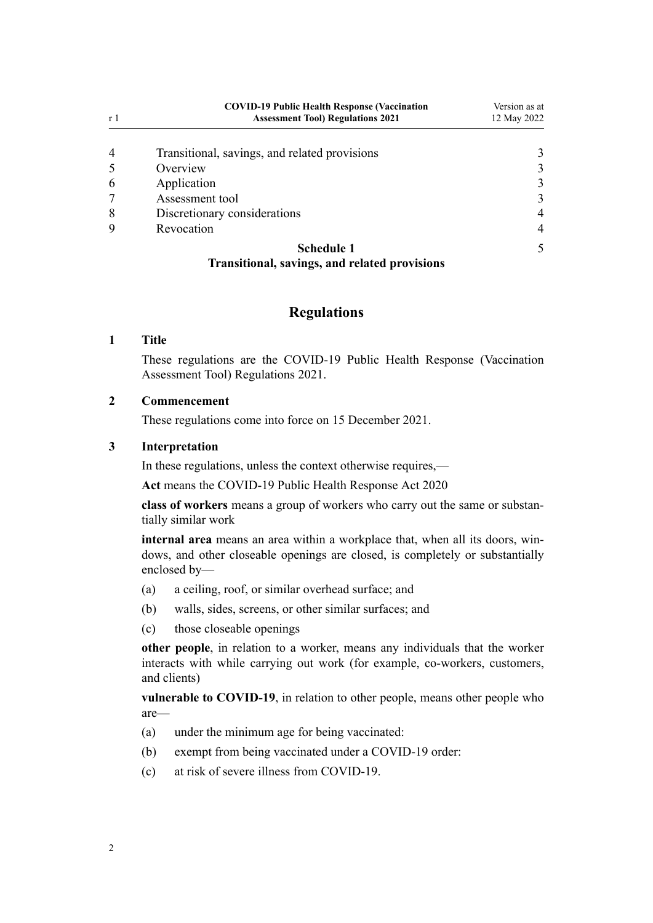<span id="page-1-0"></span>

| r <sub>1</sub> | <b>COVID-19 Public Health Response (Vaccination</b><br><b>Assessment Tool) Regulations 2021</b> | Version as at<br>12 May 2022 |
|----------------|-------------------------------------------------------------------------------------------------|------------------------------|
| $\overline{4}$ | Transitional, savings, and related provisions                                                   |                              |
|                | Overview                                                                                        |                              |
| 6              | Application                                                                                     |                              |
|                | Assessment tool                                                                                 |                              |
| 8              | Discretionary considerations                                                                    |                              |
| 9              | Revocation                                                                                      |                              |
|                | Schedule 1                                                                                      |                              |

# **[Transitional, savings, and related provisions](#page-4-0)**

# **Regulations**

### **1 Title**

These regulations are the COVID-19 Public Health Response (Vaccination Assessment Tool) Regulations 2021.

## **2 Commencement**

These regulations come into force on 15 December 2021.

### **3 Interpretation**

In these regulations, unless the context otherwise requires,—

**Act** means the [COVID-19 Public Health Response Act 2020](http://legislation.govt.nz/pdflink.aspx?id=LMS344121)

**class of workers** means a group of workers who carry out the same or substan‐ tially similar work

**internal area** means an area within a workplace that, when all its doors, win‐ dows, and other closeable openings are closed, is completely or substantially enclosed by—

- (a) a ceiling, roof, or similar overhead surface; and
- (b) walls, sides, screens, or other similar surfaces; and
- (c) those closeable openings

**other people**, in relation to a worker, means any individuals that the worker interacts with while carrying out work (for example, co-workers, customers, and clients)

**vulnerable to COVID-19**, in relation to other people, means other people who are—

- (a) under the minimum age for being vaccinated:
- (b) exempt from being vaccinated under a COVID-19 order:
- (c) at risk of severe illness from COVID-19.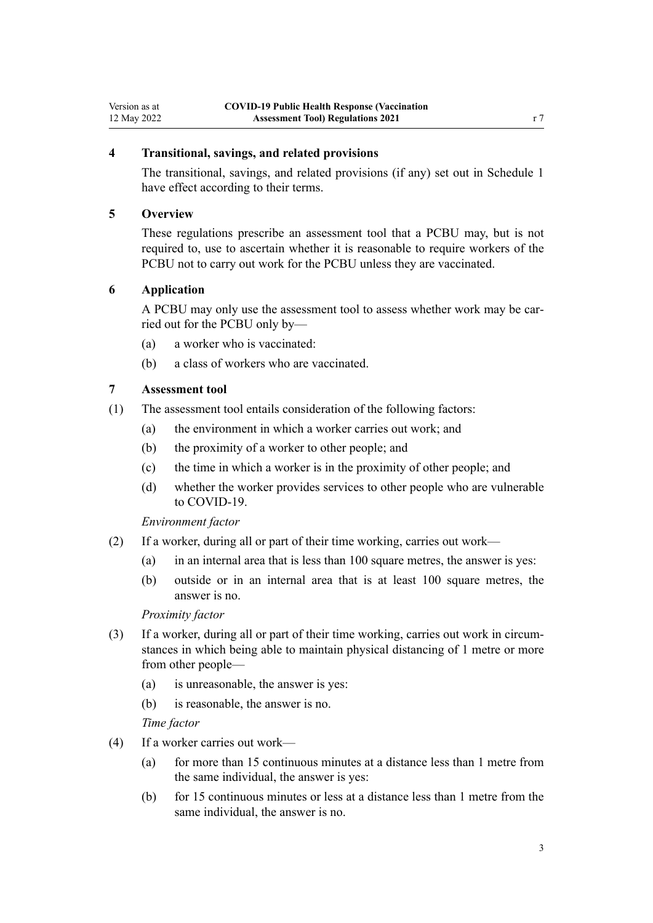# <span id="page-2-0"></span>**4 Transitional, savings, and related provisions**

The transitional, savings, and related provisions (if any) set out in [Schedule 1](#page-4-0) have effect according to their terms.

#### **5 Overview**

These regulations prescribe an assessment tool that a PCBU may, but is not required to, use to ascertain whether it is reasonable to require workers of the PCBU not to carry out work for the PCBU unless they are vaccinated.

#### **6 Application**

A PCBU may only use the assessment tool to assess whether work may be car‐ ried out for the PCBU only by—

- (a) a worker who is vaccinated:
- (b) a class of workers who are vaccinated.

# **7 Assessment tool**

- (1) The assessment tool entails consideration of the following factors:
	- (a) the environment in which a worker carries out work; and
	- (b) the proximity of a worker to other people; and
	- (c) the time in which a worker is in the proximity of other people; and
	- (d) whether the worker provides services to other people who are vulnerable to COVID-19.

*Environment factor*

- (2) If a worker, during all or part of their time working, carries out work—
	- (a) in an internal area that is less than 100 square metres, the answer is yes:
	- (b) outside or in an internal area that is at least 100 square metres, the answer is no.

#### *Proximity factor*

- (3) If a worker, during all or part of their time working, carries out work in circum‐ stances in which being able to maintain physical distancing of 1 metre or more from other people—
	- (a) is unreasonable, the answer is yes:
	- (b) is reasonable, the answer is no.

#### *Time factor*

- (4) If a worker carries out work—
	- (a) for more than 15 continuous minutes at a distance less than 1 metre from the same individual, the answer is yes:
	- (b) for 15 continuous minutes or less at a distance less than 1 metre from the same individual, the answer is no.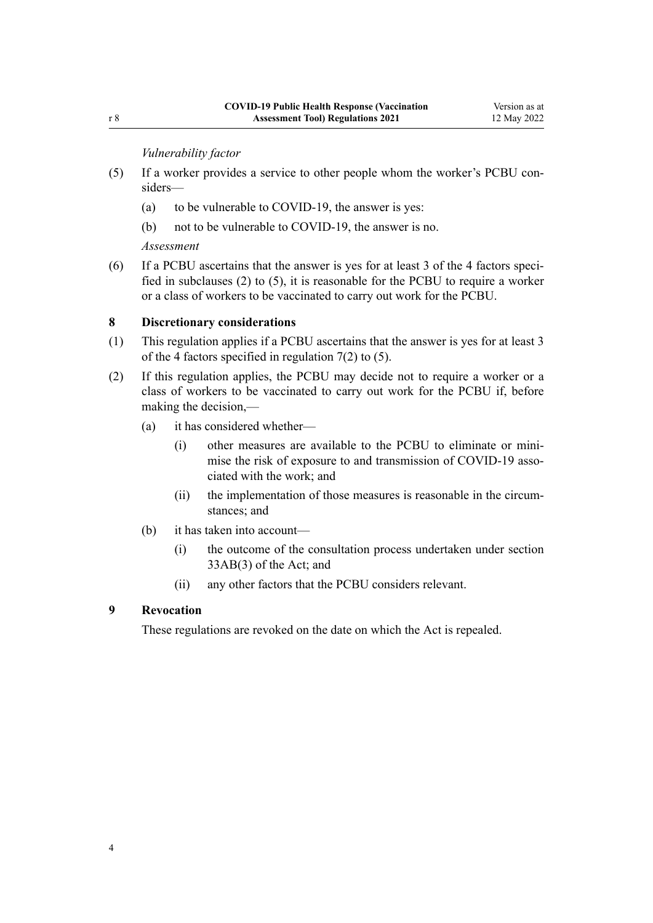*Vulnerability factor*

- <span id="page-3-0"></span>(5) If a worker provides a service to other people whom the worker's PCBU con‐ siders—
	- (a) to be vulnerable to COVID-19, the answer is yes:
	- (b) not to be vulnerable to COVID-19, the answer is no.

*Assessment*

 $(6)$  If a PCBU ascertains that the answer is yes for at least 3 of the 4 factors specified in subclauses (2) to (5), it is reasonable for the PCBU to require a worker or a class of workers to be vaccinated to carry out work for the PCBU.

### **8 Discretionary considerations**

- (1) This regulation applies if a PCBU ascertains that the answer is yes for at least 3 of the 4 factors specified in [regulation 7\(2\) to \(5\)](#page-2-0).
- (2) If this regulation applies, the PCBU may decide not to require a worker or a class of workers to be vaccinated to carry out work for the PCBU if, before making the decision,—
	- (a) it has considered whether—
		- (i) other measures are available to the PCBU to eliminate or mini‐ mise the risk of exposure to and transmission of COVID-19 associated with the work; and
		- (ii) the implementation of those measures is reasonable in the circumstances; and
	- (b) it has taken into account—
		- (i) the outcome of the consultation process undertaken under [section](http://legislation.govt.nz/pdflink.aspx?id=LMS606357) [33AB\(3\)](http://legislation.govt.nz/pdflink.aspx?id=LMS606357) of the Act; and
		- (ii) any other factors that the PCBU considers relevant.

### **9 Revocation**

These regulations are revoked on the date on which the Act is repealed.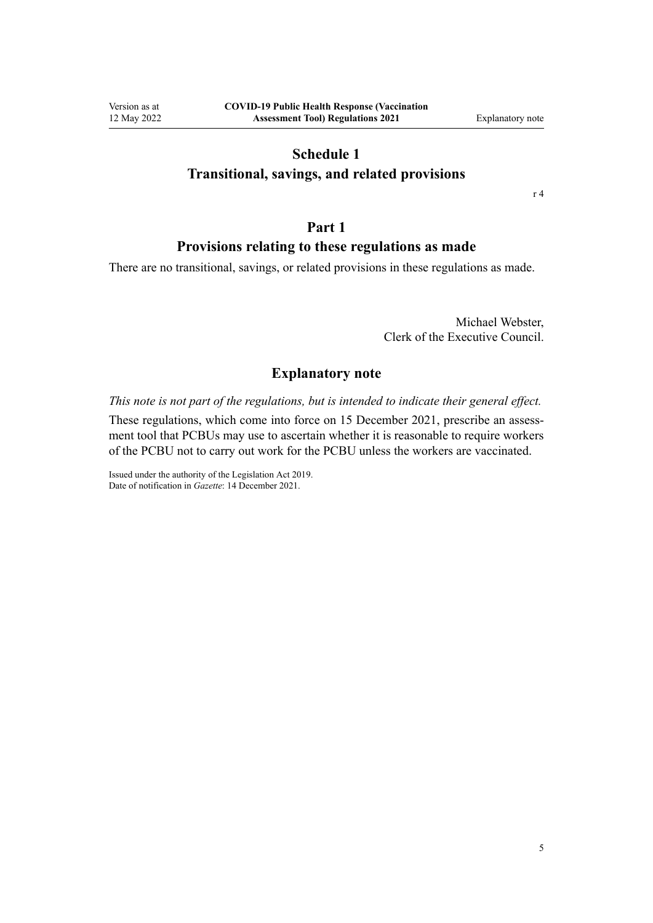# **Schedule 1**

## <span id="page-4-0"></span>**Transitional, savings, and related provisions**

[r 4](#page-2-0)

# **Part 1**

# **Provisions relating to these regulations as made**

There are no transitional, savings, or related provisions in these regulations as made.

Michael Webster, Clerk of the Executive Council.

# **Explanatory note**

*This note is not part of the regulations, but is intended to indicate their general effect.*

These regulations, which come into force on 15 December 2021, prescribe an assessment tool that PCBUs may use to ascertain whether it is reasonable to require workers of the PCBU not to carry out work for the PCBU unless the workers are vaccinated.

Issued under the authority of the [Legislation Act 2019](http://legislation.govt.nz/pdflink.aspx?id=DLM7298104). Date of notification in *Gazette*: 14 December 2021.